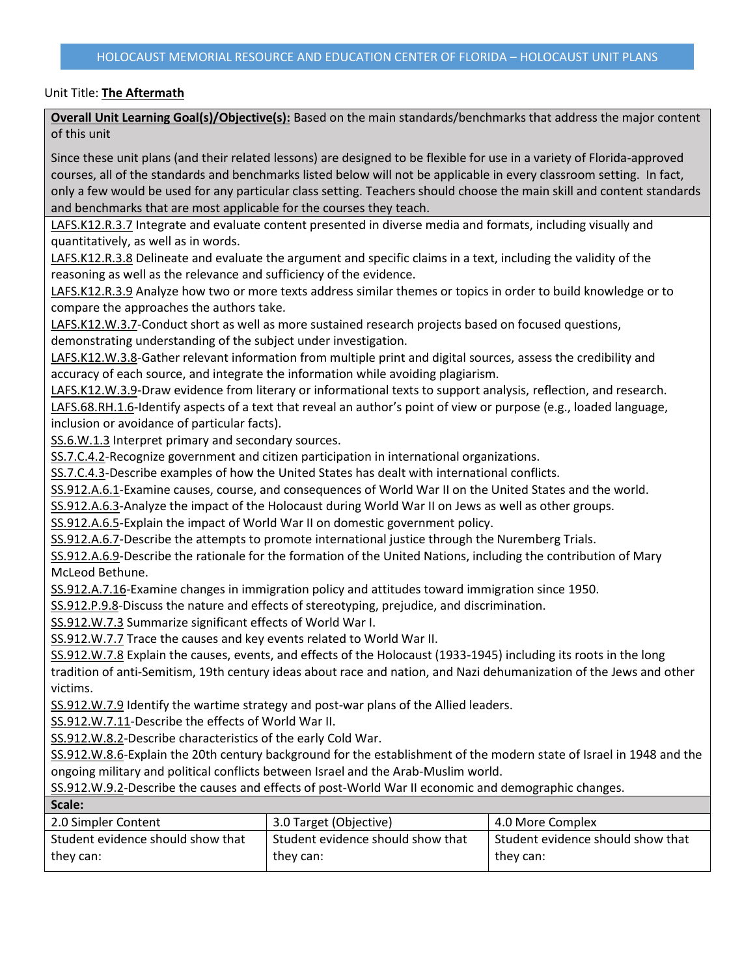**Overall Unit Learning Goal(s)/Objective(s):** Based on the main standards/benchmarks that address the major content of this unit

Since these unit plans (and their related lessons) are designed to be flexible for use in a variety of Florida-approved courses, all of the standards and benchmarks listed below will not be applicable in every classroom setting. In fact, only a few would be used for any particular class setting. Teachers should choose the main skill and content standards and benchmarks that are most applicable for the courses they teach.

LAFS.K12.R.3.7 Integrate and evaluate content presented in diverse media and formats, including visually and quantitatively, as well as in words.

LAFS.K12.R.3.8 Delineate and evaluate the argument and specific claims in a text, including the validity of the reasoning as well as the relevance and sufficiency of the evidence.

LAFS.K12.R.3.9 Analyze how two or more texts address similar themes or topics in order to build knowledge or to compare the approaches the authors take.

LAFS.K12.W.3.7-Conduct short as well as more sustained research projects based on focused questions, demonstrating understanding of the subject under investigation.

LAFS.K12.W.3.8-Gather relevant information from multiple print and digital sources, assess the credibility and accuracy of each source, and integrate the information while avoiding plagiarism.

LAFS.K12.W.3.9-Draw evidence from literary or informational texts to support analysis, reflection, and research. LAFS.68.RH.1.6-Identify aspects of a text that reveal an author's point of view or purpose (e.g., loaded language, inclusion or avoidance of particular facts).

SS.6.W.1.3 Interpret primary and secondary sources.

SS.7.C.4.2-Recognize government and citizen participation in international organizations.

SS.7.C.4.3-Describe examples of how the United States has dealt with international conflicts.

SS.912.A.6.1-Examine causes, course, and consequences of World War II on the United States and the world.

SS.912.A.6.3-Analyze the impact of the Holocaust during World War II on Jews as well as other groups.

SS.912.A.6.5-Explain the impact of World War II on domestic government policy.

SS.912.A.6.7-Describe the attempts to promote international justice through the Nuremberg Trials.

SS.912.A.6.9-Describe the rationale for the formation of the United Nations, including the contribution of Mary McLeod Bethune.

SS.912.A.7.16-Examine changes in immigration policy and attitudes toward immigration since 1950.

SS.912.P.9.8-Discuss the nature and effects of stereotyping, prejudice, and discrimination.

SS.912.W.7.3 Summarize significant effects of World War I.

SS.912.W.7.7 Trace the causes and key events related to World War II.

SS.912.W.7.8 Explain the causes, events, and effects of the Holocaust (1933-1945) including its roots in the long tradition of anti-Semitism, 19th century ideas about race and nation, and Nazi dehumanization of the Jews and other victims.

SS.912.W.7.9 Identify the wartime strategy and post-war plans of the Allied leaders.

SS.912.W.7.11-Describe the effects of World War II.

**Scale:**

SS.912.W.8.2-Describe characteristics of the early Cold War.

SS.912.W.8.6-Explain the 20th century background for the establishment of the modern state of Israel in 1948 and the ongoing military and political conflicts between Israel and the Arab-Muslim world.

SS.912.W.9.2-Describe the causes and effects of post-World War II economic and demographic changes.

| JLAIC.                            |                                   |                                   |
|-----------------------------------|-----------------------------------|-----------------------------------|
| 2.0 Simpler Content               | 3.0 Target (Objective)            | 4.0 More Complex                  |
| Student evidence should show that | Student evidence should show that | Student evidence should show that |
| they can:                         | they can:                         | they can:                         |
|                                   |                                   |                                   |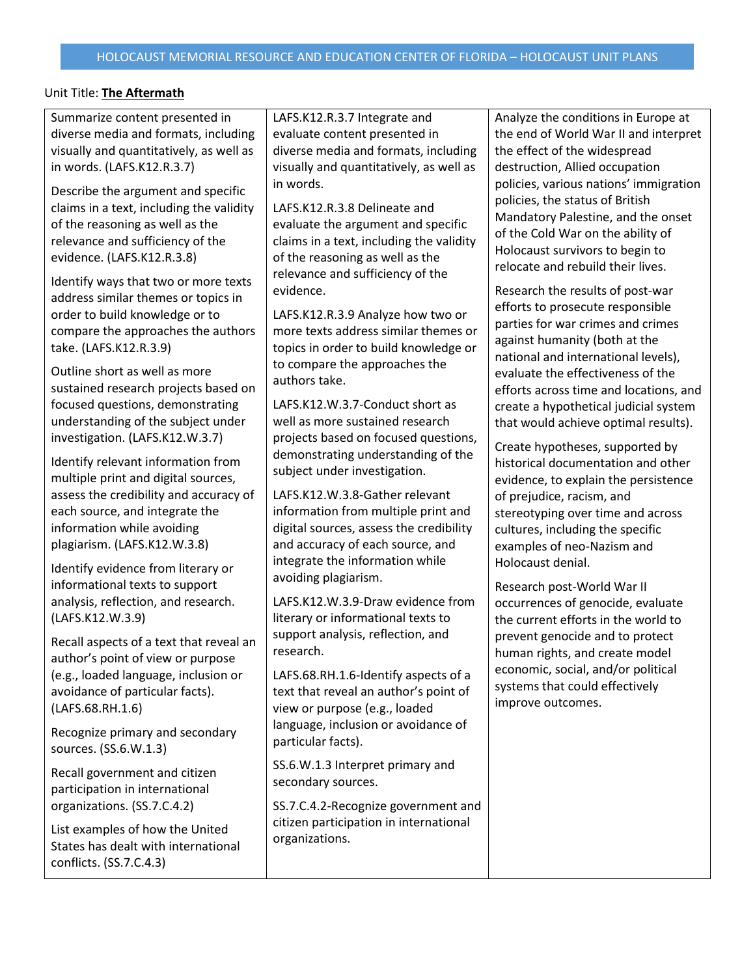Summarize content presented in diverse media and formats, including visually and quantitatively, as well as in words. (LAFS.K12.R.3.7)

Describe the argument and specific claims in a text, including the validity of the reasoning as well as the relevance and sufficiency of the evidence. (LAFS.K12.R.3.8)

Identify ways that two or more texts address similar themes or topics in order to build knowledge or to compare the approaches the authors take. (LAFS.K12.R.3.9)

Outline short as well as more sustained research projects based on focused questions, demonstrating understanding of the subject under investigation. (LAFS.K12.W.3.7)

Identify relevant information from multiple print and digital sources, assess the credibility and accuracy of each source, and integrate the information while avoiding plagiarism. (LAFS.K12.W.3.8)

Identify evidence from literary or informational texts to support analysis, reflection, and research. (LAFS.K12.W.3.9)

Recall aspects of a text that reveal an author's point of view or purpose (e.g., loaded language, inclusion or avoidance of particular facts). (LAFS.68.RH.1.6)

Recognize primary and secondary sources. (SS.6.W.1.3)

Recall government and citizen participation in international organizations. (SS.7.C.4.2)

List examples of how the United States has dealt with international conflicts. (SS.7.C.4.3)

LAFS.K12.R.3.7 Integrate and evaluate content presented in diverse media and formats, including visually and quantitatively, as well as in words.

LAFS.K12.R.3.8 Delineate and evaluate the argument and specific claims in a text, including the validity of the reasoning as well as the relevance and sufficiency of the evidence.

LAFS.K12.R.3.9 Analyze how two or more texts address similar themes or topics in order to build knowledge or to compare the approaches the authors take.

LAFS.K12.W.3.7-Conduct short as well as more sustained research projects based on focused questions, demonstrating understanding of the subject under investigation.

LAFS.K12.W.3.8-Gather relevant information from multiple print and digital sources, assess the credibility and accuracy of each source, and integrate the information while avoiding plagiarism.

LAFS.K12.W.3.9-Draw evidence from literary or informational texts to support analysis, reflection, and research.

LAFS.68.RH.1.6-Identify aspects of a text that reveal an author's point of view or purpose (e.g., loaded language, inclusion or avoidance of particular facts).

SS.6.W.1.3 Interpret primary and secondary sources.

SS.7.C.4.2-Recognize government and citizen participation in international organizations.

Analyze the conditions in Europe at the end of World War II and interpret the effect of the widespread destruction, Allied occupation policies, various nations' immigration policies, the status of British Mandatory Palestine, and the onset of the Cold War on the ability of Holocaust survivors to begin to relocate and rebuild their lives.

Research the results of post-war efforts to prosecute responsible parties for war crimes and crimes against humanity (both at the national and international levels), evaluate the effectiveness of the efforts across time and locations, and create a hypothetical judicial system that would achieve optimal results).

Create hypotheses, supported by historical documentation and other evidence, to explain the persistence of prejudice, racism, and stereotyping over time and across cultures, including the specific examples of neo-Nazism and Holocaust denial.

Research post-World War II occurrences of genocide, evaluate the current efforts in the world to prevent genocide and to protect human rights, and create model economic, social, and/or political systems that could effectively improve outcomes.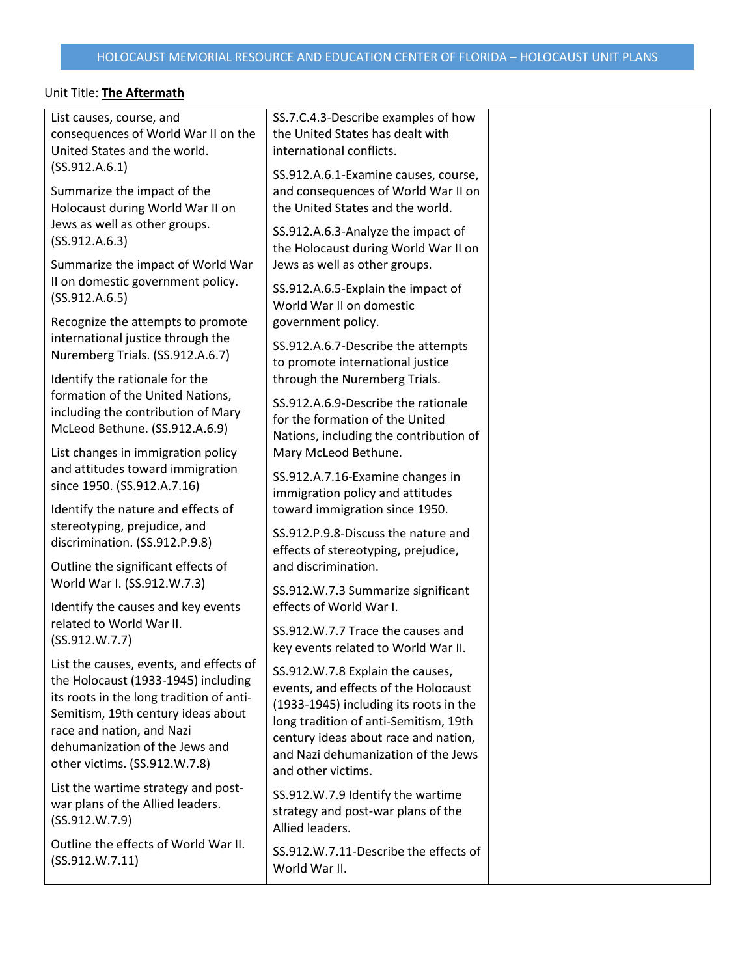$\mathsf{l}$ 

| List causes, course, and                 | SS.7.C.4.3-Describe examples of how    |  |
|------------------------------------------|----------------------------------------|--|
| consequences of World War II on the      | the United States has dealt with       |  |
| United States and the world.             | international conflicts.               |  |
| (SS.912.A.6.1)                           | SS.912.A.6.1-Examine causes, course,   |  |
| Summarize the impact of the              | and consequences of World War II on    |  |
| Holocaust during World War II on         | the United States and the world.       |  |
| Jews as well as other groups.            |                                        |  |
| (SS.912.A.6.3)                           | SS.912.A.6.3-Analyze the impact of     |  |
|                                          | the Holocaust during World War II on   |  |
| Summarize the impact of World War        | Jews as well as other groups.          |  |
| II on domestic government policy.        | SS.912.A.6.5-Explain the impact of     |  |
| (SS.912.A.6.5)                           | World War II on domestic               |  |
| Recognize the attempts to promote        | government policy.                     |  |
| international justice through the        |                                        |  |
| Nuremberg Trials. (SS.912.A.6.7)         | SS.912.A.6.7-Describe the attempts     |  |
|                                          | to promote international justice       |  |
| Identify the rationale for the           | through the Nuremberg Trials.          |  |
| formation of the United Nations,         | SS.912.A.6.9-Describe the rationale    |  |
| including the contribution of Mary       | for the formation of the United        |  |
| McLeod Bethune. (SS.912.A.6.9)           | Nations, including the contribution of |  |
| List changes in immigration policy       | Mary McLeod Bethune.                   |  |
| and attitudes toward immigration         |                                        |  |
| since 1950. (SS.912.A.7.16)              | SS.912.A.7.16-Examine changes in       |  |
|                                          | immigration policy and attitudes       |  |
| Identify the nature and effects of       | toward immigration since 1950.         |  |
| stereotyping, prejudice, and             | SS.912.P.9.8-Discuss the nature and    |  |
| discrimination. (SS.912.P.9.8)           | effects of stereotyping, prejudice,    |  |
| Outline the significant effects of       | and discrimination.                    |  |
| World War I. (SS.912.W.7.3)              |                                        |  |
|                                          | SS.912.W.7.3 Summarize significant     |  |
| Identify the causes and key events       | effects of World War I.                |  |
| related to World War II.                 | SS.912.W.7.7 Trace the causes and      |  |
| (SS.912.W.7.7)                           | key events related to World War II.    |  |
| List the causes, events, and effects of  |                                        |  |
| the Holocaust (1933-1945) including      | SS.912.W.7.8 Explain the causes,       |  |
| its roots in the long tradition of anti- | events, and effects of the Holocaust   |  |
| Semitism, 19th century ideas about       | (1933-1945) including its roots in the |  |
| race and nation, and Nazi                | long tradition of anti-Semitism, 19th  |  |
| dehumanization of the Jews and           | century ideas about race and nation,   |  |
| other victims. (SS.912.W.7.8)            | and Nazi dehumanization of the Jews    |  |
|                                          | and other victims.                     |  |
| List the wartime strategy and post-      | SS.912.W.7.9 Identify the wartime      |  |
| war plans of the Allied leaders.         | strategy and post-war plans of the     |  |
| (SS.912.W.7.9)                           | Allied leaders.                        |  |
| Outline the effects of World War II.     |                                        |  |
| (SS.912.W.7.11)                          | SS.912.W.7.11-Describe the effects of  |  |
|                                          | World War II.                          |  |